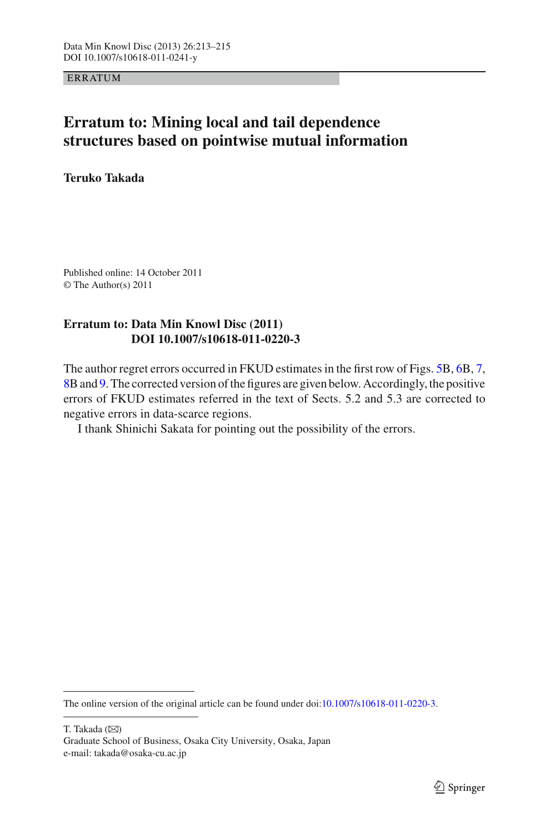**ERRATUM** 

## **Erratum to: Mining local and tail dependence structures based on pointwise mutual information**

**Teruko Takada**

Published online: 14 October 2011 © The Author(s) 2011

## **Erratum to: Data Min Knowl Disc (2011) DOI 10.1007/s10618-011-0220-3**

The author regret errors occurred in FKUD estimates in the first row of Figs. [5B](#page-1-0), [6B](#page-1-1), [7,](#page-1-2) [8B](#page-2-0) and [9.](#page-2-1) The corrected version of the figures are given below. Accordingly, the positive errors of FKUD estimates referred in the text of Sects. 5.2 and 5.3 are corrected to negative errors in data-scarce regions.

I thank Shinichi Sakata for pointing out the possibility of the errors.

The online version of the original article can be found under doi[:10.1007/s10618-011-0220-3.](http://dx.doi.org/10.1007/s10618-011-0220-3)

T. Takada  $(\boxtimes)$ 

Graduate School of Business, Osaka City University, Osaka, Japan e-mail: takada@osaka-cu.ac.jp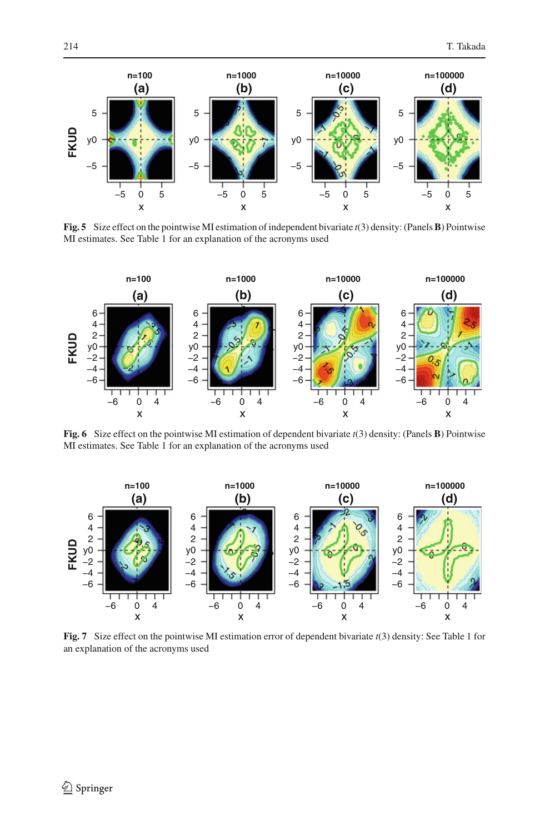

<span id="page-1-0"></span>**Fig. 5** Size effect on the pointwise MI estimation of independent bivariate *t*(3) density: (Panels**B**) Pointwise MI estimates. See Table 1 for an explanation of the acronyms used



<span id="page-1-1"></span>**Fig. 6** Size effect on the pointwise MI estimation of dependent bivariate *t*(3) density: (Panels **B**) Pointwise MI estimates. See Table 1 for an explanation of the acronyms used



<span id="page-1-2"></span>**Fig. 7** Size effect on the pointwise MI estimation error of dependent bivariate *t*(3) density: See Table 1 for an explanation of the acronyms used